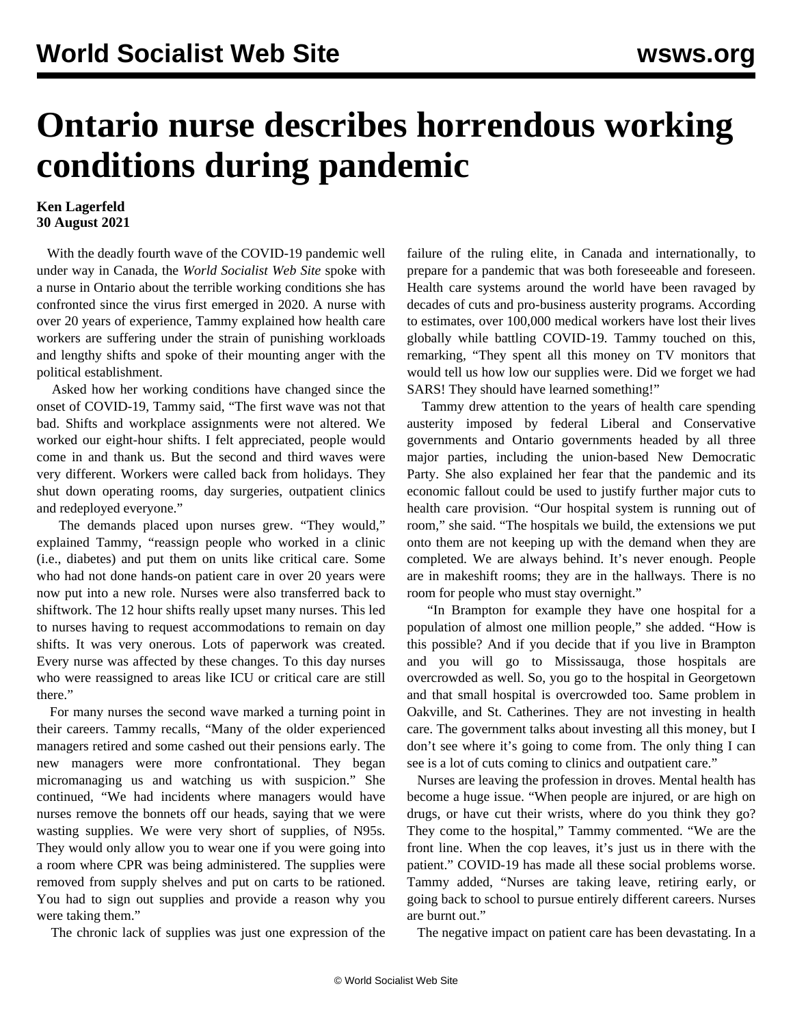## **Ontario nurse describes horrendous working conditions during pandemic**

## **Ken Lagerfeld 30 August 2021**

 With the deadly fourth wave of the COVID-19 pandemic well under way in Canada, the *World Socialist Web Site* spoke with a nurse in Ontario about the terrible working conditions she has confronted since the virus first emerged in 2020. A nurse with over 20 years of experience, Tammy explained how health care workers are suffering under the strain of punishing workloads and lengthy shifts and spoke of their mounting anger with the political establishment.

 Asked how her working conditions have changed since the onset of COVID-19, Tammy said, "The first wave was not that bad. Shifts and workplace assignments were not altered. We worked our eight-hour shifts. I felt appreciated, people would come in and thank us. But the second and third waves were very different. Workers were called back from holidays. They shut down operating rooms, day surgeries, outpatient clinics and redeployed everyone."

 The demands placed upon nurses grew. "They would," explained Tammy, "reassign people who worked in a clinic (i.e., diabetes) and put them on units like critical care. Some who had not done hands-on patient care in over 20 years were now put into a new role. Nurses were also transferred back to shiftwork. The 12 hour shifts really upset many nurses. This led to nurses having to request accommodations to remain on day shifts. It was very onerous. Lots of paperwork was created. Every nurse was affected by these changes. To this day nurses who were reassigned to areas like ICU or critical care are still there."

 For many nurses the second wave marked a turning point in their careers. Tammy recalls, "Many of the older experienced managers retired and some cashed out their pensions early. The new managers were more confrontational. They began micromanaging us and watching us with suspicion." She continued, "We had incidents where managers would have nurses remove the bonnets off our heads, saying that we were wasting supplies. We were very short of supplies, of N95s. They would only allow you to wear one if you were going into a room where CPR was being administered. The supplies were removed from supply shelves and put on carts to be rationed. You had to sign out supplies and provide a reason why you were taking them."

The chronic lack of supplies was just one expression of the

failure of the ruling elite, in Canada and internationally, to prepare for a pandemic that was both foreseeable and foreseen. Health care systems around the world have been ravaged by decades of cuts and pro-business austerity programs. According to estimates, over 100,000 medical workers have lost their lives globally while battling COVID-19. Tammy touched on this, remarking, "They spent all this money on TV monitors that would tell us how low our supplies were. Did we forget we had SARS! They should have learned something!"

 Tammy drew attention to the years of health care spending austerity imposed by federal Liberal and Conservative governments and Ontario governments headed by all three major parties, including the union-based New Democratic Party. She also explained her fear that the pandemic and its economic fallout could be used to justify further major cuts to health care provision. "Our hospital system is running out of room," she said. "The hospitals we build, the extensions we put onto them are not keeping up with the demand when they are completed. We are always behind. It's never enough. People are in makeshift rooms; they are in the hallways. There is no room for people who must stay overnight."

 "In Brampton for example they have one hospital for a population of almost one million people," she added. "How is this possible? And if you decide that if you live in Brampton and you will go to Mississauga, those hospitals are overcrowded as well. So, you go to the hospital in Georgetown and that small hospital is overcrowded too. Same problem in Oakville, and St. Catherines. They are not investing in health care. The government talks about investing all this money, but I don't see where it's going to come from. The only thing I can see is a lot of cuts coming to clinics and outpatient care."

 Nurses are leaving the profession in droves. Mental health has become a huge issue. "When people are injured, or are high on drugs, or have cut their wrists, where do you think they go? They come to the hospital," Tammy commented. "We are the front line. When the cop leaves, it's just us in there with the patient." COVID-19 has made all these social problems worse. Tammy added, "Nurses are taking leave, retiring early, or going back to school to pursue entirely different careers. Nurses are burnt out."

The negative impact on patient care has been devastating. In a